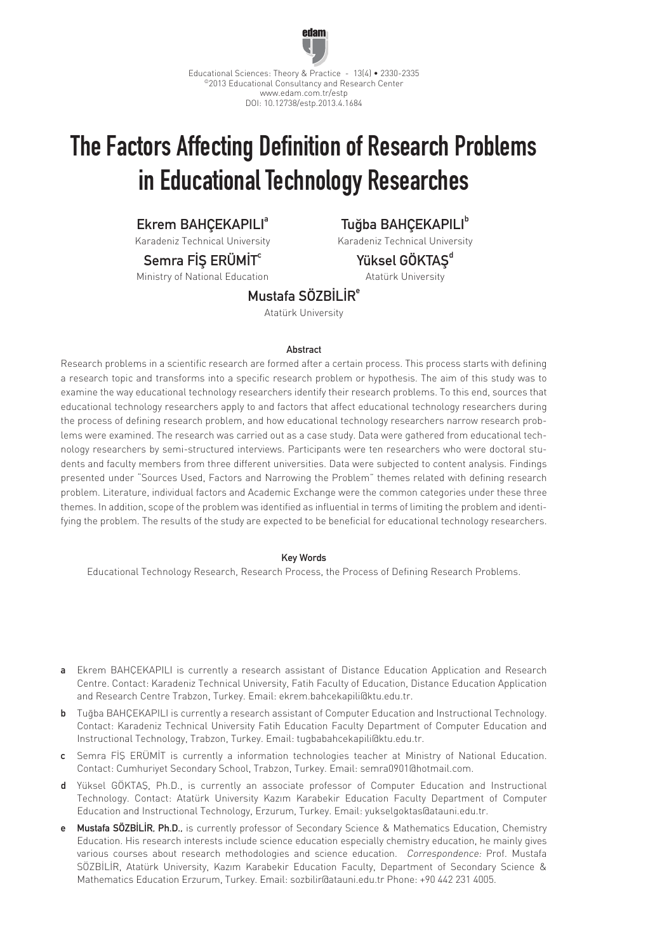

# The Factors Affecting Definition of Research Problems in Educational Technology Researches

# Ekrem BAHCEKAPILI<sup>a</sup>

Karadeniz Technical University

Semra FİS ERÜMİT<sup>c</sup>

Ministry of National Education

# Tuğba BAHÇEKAPILI<sup>b</sup>

Karadeniz Technical University

# Yüksel GÖKTAS<sup>d</sup> Atatürk University

Mustafa SÖ7RİLİR<sup>e</sup>

Atatürk University

#### Abstract

Research problems in a scientific research are formed after a certain process. This process starts with defining a research topic and transforms into a specific research problem or hypothesis. The aim of this study was to examine the way educational technology researchers identify their research problems. To this end, sources that educational technology researchers apply to and factors that affect educational technology researchers during the process of defining research problem, and how educational technology researchers narrow research problems were examined. The research was carried out as a case study. Data were gathered from educational technology researchers by semi-structured interviews. Participants were ten researchers who were doctoral students and faculty members from three different universities. Data were subjected to content analysis. Findings presented under "Sources Used, Factors and Narrowing the Problem" themes related with defining research problem. Literature, individual factors and Academic Exchange were the common categories under these three themes. In addition, scope of the problem was identified as influential in terms of limiting the problem and identifying the problem. The results of the study are expected to be beneficial for educational technology researchers.

#### Key Words

Educational Technology Research, Research Process, the Process of Defining Research Problems.

- a Ekrem BAHÇEKAPILI is currently a research assistant of Distance Education Application and Research Centre. Contact: Karadeniz Technical University, Fatih Faculty of Education, Distance Education Application and Research Centre Trabzon, Turkey. Email: ekrem.bahcekapili@ktu.edu.tr.
- **b** Tugba BAHCEKAPILI is currently a research assistant of Computer Education and Instructional Technology. Contact: Karadeniz Technical University Fatih Education Faculty Department of Computer Education and Instructional Technology, Trabzon, Turkey. Email: tugbabahcekapili@ktu.edu.tr.
- c Semra FİŞ ERÜMİT is currently a information technologies teacher at Ministry of National Education. Contact: Cumhuriyet Secondary School, Trabzon, Turkey. Email: semra0901@hotmail.com.
- d Yüksel GÖKTAŞ, Ph.D., is currently an associate professor of Computer Education and Instructional Technology. Contact: Atatürk University Kazım Karabekir Education Faculty Department of Computer Education and Instructional Technology, Erzurum, Turkey. Email: yukselgoktas@atauni.edu.tr.
- e Mustafa SÖZBİLİR, Ph.D., is currently professor of Secondary Science & Mathematics Education, Chemistry Education. His research interests include science education especially chemistry education, he mainly gives various courses about research methodologies and science education. Correspondence: Prof. Mustafa SÖZBİLİR, Atatürk University, Kazım Karabekir Education Faculty, Department of Secondary Science & Mathematics Education Erzurum, Turkey. Email: sozbilir@atauni.edu.tr Phone: +90 442 231 4005.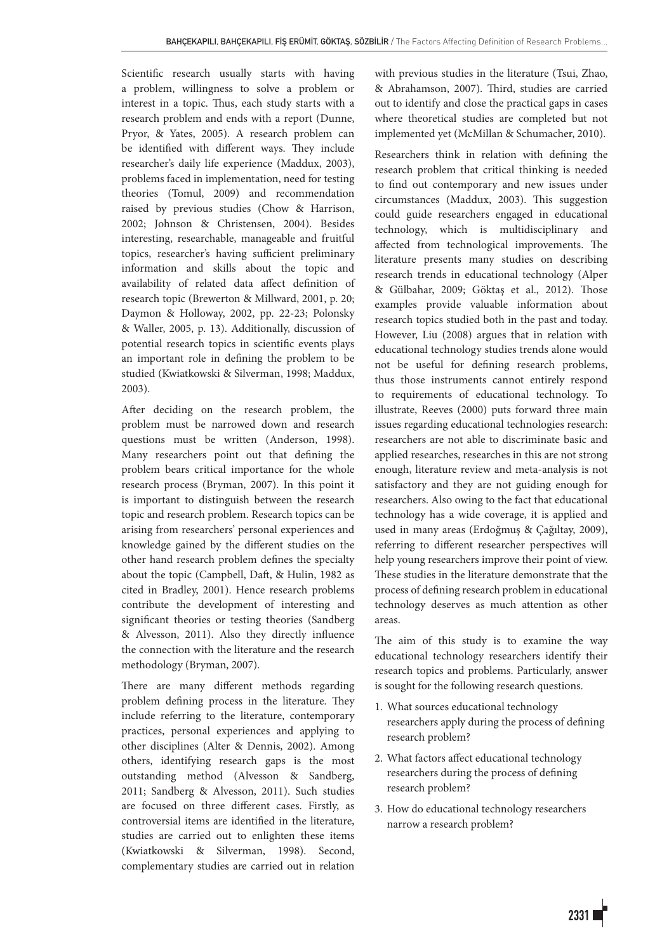Scientific research usually starts with having a problem, willingness to solve a problem or interest in a topic. Thus, each study starts with a research problem and ends with a report (Dunne, Pryor, & Yates, 2005). A research problem can be identified with different ways. They include researcher's daily life experience (Maddux, 2003), problems faced in implementation, need for testing theories (Tomul, 2009) and recommendation raised by previous studies (Chow & Harrison, 2002; Johnson & Christensen, 2004). Besides interesting, researchable, manageable and fruitful topics, researcher's having sufficient preliminary information and skills about the topic and availability of related data affect definition of research topic (Brewerton & Millward, 2001, p. 20; Daymon & Holloway, 2002, pp. 22-23; Polonsky & Waller, 2005, p. 13). Additionally, discussion of potential research topics in scientific events plays an important role in defining the problem to be studied (Kwiatkowski & Silverman, 1998; Maddux, 2003).

After deciding on the research problem, the problem must be narrowed down and research questions must be written (Anderson, 1998). Many researchers point out that defining the problem bears critical importance for the whole research process (Bryman, 2007). In this point it is important to distinguish between the research topic and research problem. Research topics can be arising from researchers' personal experiences and knowledge gained by the different studies on the other hand research problem defines the specialty about the topic (Campbell, Daft, & Hulin, 1982 as cited in Bradley, 2001). Hence research problems contribute the development of interesting and significant theories or testing theories (Sandberg & Alvesson, 2011). Also they directly influence the connection with the literature and the research methodology (Bryman, 2007).

There are many different methods regarding problem defining process in the literature. They include referring to the literature, contemporary practices, personal experiences and applying to other disciplines (Alter & Dennis, 2002). Among others, identifying research gaps is the most outstanding method (Alvesson & Sandberg, 2011; Sandberg & Alvesson, 2011). Such studies are focused on three different cases. Firstly, as controversial items are identified in the literature, studies are carried out to enlighten these items (Kwiatkowski & Silverman, 1998). Second, complementary studies are carried out in relation with previous studies in the literature (Tsui, Zhao, & Abrahamson, 2007). Third, studies are carried out to identify and close the practical gaps in cases where theoretical studies are completed but not implemented yet (McMillan & Schumacher, 2010).

Researchers think in relation with defining the research problem that critical thinking is needed to find out contemporary and new issues under circumstances (Maddux, 2003). This suggestion could guide researchers engaged in educational technology, which is multidisciplinary and affected from technological improvements. The literature presents many studies on describing research trends in educational technology (Alper & Gülbahar, 2009; Göktaş et al., 2012). Those examples provide valuable information about research topics studied both in the past and today. However, Liu (2008) argues that in relation with educational technology studies trends alone would not be useful for defining research problems, thus those instruments cannot entirely respond to requirements of educational technology. To illustrate, Reeves (2000) puts forward three main issues regarding educational technologies research: researchers are not able to discriminate basic and applied researches, researches in this are not strong enough, literature review and meta-analysis is not satisfactory and they are not guiding enough for researchers. Also owing to the fact that educational technology has a wide coverage, it is applied and used in many areas (Erdoğmuş & Çağıltay, 2009), referring to different researcher perspectives will help young researchers improve their point of view. These studies in the literature demonstrate that the process of defining research problem in educational technology deserves as much attention as other areas.

The aim of this study is to examine the way educational technology researchers identify their research topics and problems. Particularly, answer is sought for the following research questions.

- 1. What sources educational technology researchers apply during the process of defining research problem?
- 2. What factors affect educational technology researchers during the process of defining research problem?
- 3. How do educational technology researchers narrow a research problem?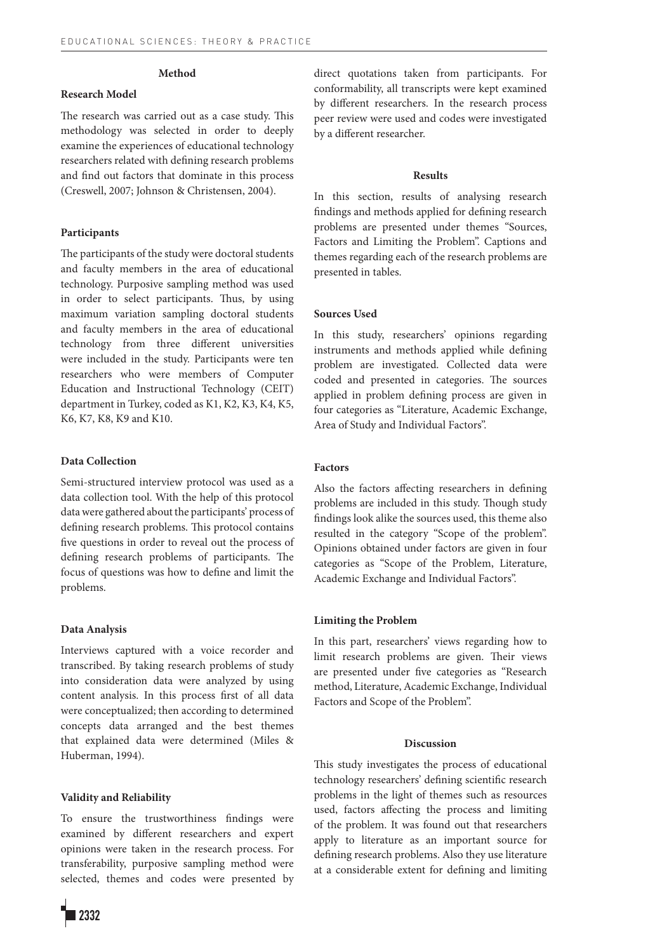#### **Method**

# **Research Model**

The research was carried out as a case study. This methodology was selected in order to deeply examine the experiences of educational technology researchers related with defining research problems and find out factors that dominate in this process (Creswell, 2007; Johnson & Christensen, 2004).

#### **Participants**

The participants of the study were doctoral students and faculty members in the area of educational technology. Purposive sampling method was used in order to select participants. Thus, by using maximum variation sampling doctoral students and faculty members in the area of educational technology from three different universities were included in the study. Participants were ten researchers who were members of Computer Education and Instructional Technology (CEIT) department in Turkey, coded as K1, K2, K3, K4, K5, K6, K7, K8, K9 and K10.

# **Data Collection**

Semi-structured interview protocol was used as a data collection tool. With the help of this protocol data were gathered about the participants' process of defining research problems. This protocol contains five questions in order to reveal out the process of defining research problems of participants. The focus of questions was how to define and limit the problems.

#### **Data Analysis**

Interviews captured with a voice recorder and transcribed. By taking research problems of study into consideration data were analyzed by using content analysis. In this process first of all data were conceptualized; then according to determined concepts data arranged and the best themes that explained data were determined (Miles & Huberman, 1994).

#### **Validity and Reliability**

To ensure the trustworthiness findings were examined by different researchers and expert opinions were taken in the research process. For transferability, purposive sampling method were selected, themes and codes were presented by direct quotations taken from participants. For conformability, all transcripts were kept examined by different researchers. In the research process peer review were used and codes were investigated by a different researcher.

#### **Results**

In this section, results of analysing research findings and methods applied for defining research problems are presented under themes "Sources, Factors and Limiting the Problem". Captions and themes regarding each of the research problems are presented in tables.

# **Sources Used**

In this study, researchers' opinions regarding instruments and methods applied while defining problem are investigated. Collected data were coded and presented in categories. The sources applied in problem defining process are given in four categories as "Literature, Academic Exchange, Area of Study and Individual Factors".

#### **Factors**

Also the factors affecting researchers in defining problems are included in this study. Though study findings look alike the sources used, this theme also resulted in the category "Scope of the problem". Opinions obtained under factors are given in four categories as "Scope of the Problem, Literature, Academic Exchange and Individual Factors".

#### **Limiting the Problem**

In this part, researchers' views regarding how to limit research problems are given. Their views are presented under five categories as "Research method, Literature, Academic Exchange, Individual Factors and Scope of the Problem".

#### **Discussion**

This study investigates the process of educational technology researchers' defining scientific research problems in the light of themes such as resources used, factors affecting the process and limiting of the problem. It was found out that researchers apply to literature as an important source for defining research problems. Also they use literature at a considerable extent for defining and limiting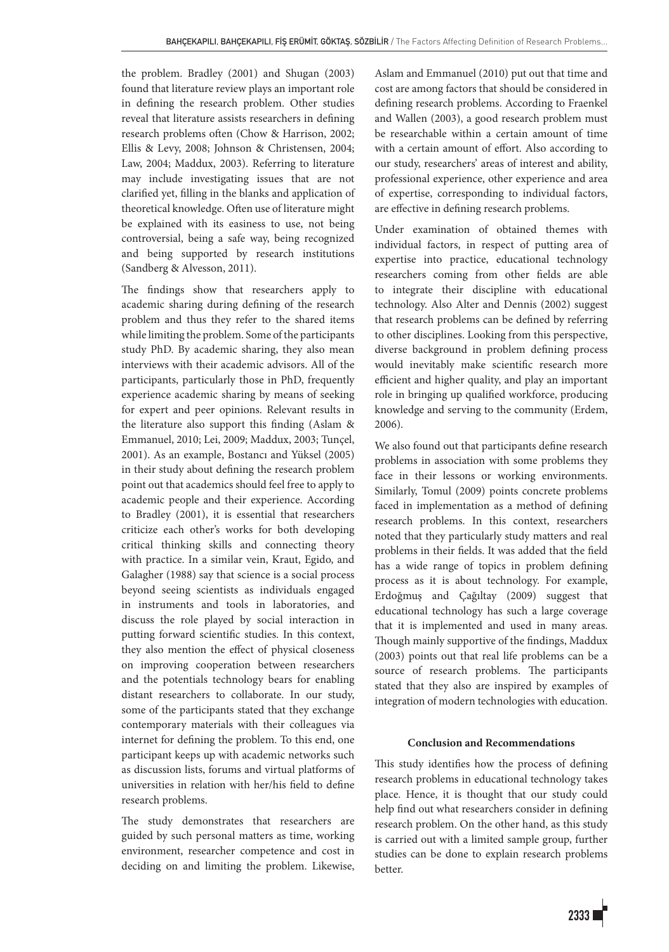the problem. Bradley (2001) and Shugan (2003) found that literature review plays an important role in defining the research problem. Other studies reveal that literature assists researchers in defining research problems often (Chow & Harrison, 2002; Ellis & Levy, 2008; Johnson & Christensen, 2004; Law, 2004; Maddux, 2003). Referring to literature may include investigating issues that are not clarified yet, filling in the blanks and application of theoretical knowledge. Often use of literature might be explained with its easiness to use, not being controversial, being a safe way, being recognized and being supported by research institutions (Sandberg & Alvesson, 2011).

The findings show that researchers apply to academic sharing during defining of the research problem and thus they refer to the shared items while limiting the problem. Some of the participants study PhD. By academic sharing, they also mean interviews with their academic advisors. All of the participants, particularly those in PhD, frequently experience academic sharing by means of seeking for expert and peer opinions. Relevant results in the literature also support this finding (Aslam & Emmanuel, 2010; Lei, 2009; Maddux, 2003; Tunçel, 2001). As an example, Bostancı and Yüksel (2005) in their study about defining the research problem point out that academics should feel free to apply to academic people and their experience. According to Bradley (2001), it is essential that researchers criticize each other's works for both developing critical thinking skills and connecting theory with practice. In a similar vein, Kraut, Egido, and Galagher (1988) say that science is a social process beyond seeing scientists as individuals engaged in instruments and tools in laboratories, and discuss the role played by social interaction in putting forward scientific studies. In this context, they also mention the effect of physical closeness on improving cooperation between researchers and the potentials technology bears for enabling distant researchers to collaborate. In our study, some of the participants stated that they exchange contemporary materials with their colleagues via internet for defining the problem. To this end, one participant keeps up with academic networks such as discussion lists, forums and virtual platforms of universities in relation with her/his field to define research problems.

The study demonstrates that researchers are guided by such personal matters as time, working environment, researcher competence and cost in deciding on and limiting the problem. Likewise, Aslam and Emmanuel (2010) put out that time and cost are among factors that should be considered in defining research problems. According to Fraenkel and Wallen (2003), a good research problem must be researchable within a certain amount of time with a certain amount of effort. Also according to our study, researchers' areas of interest and ability, professional experience, other experience and area of expertise, corresponding to individual factors, are effective in defining research problems.

Under examination of obtained themes with individual factors, in respect of putting area of expertise into practice, educational technology researchers coming from other fields are able to integrate their discipline with educational technology. Also Alter and Dennis (2002) suggest that research problems can be defined by referring to other disciplines. Looking from this perspective, diverse background in problem defining process would inevitably make scientific research more efficient and higher quality, and play an important role in bringing up qualified workforce, producing knowledge and serving to the community (Erdem, 2006).

We also found out that participants define research problems in association with some problems they face in their lessons or working environments. Similarly, Tomul (2009) points concrete problems faced in implementation as a method of defining research problems. In this context, researchers noted that they particularly study matters and real problems in their fields. It was added that the field has a wide range of topics in problem defining process as it is about technology. For example, Erdoğmuş and Çağıltay (2009) suggest that educational technology has such a large coverage that it is implemented and used in many areas. Though mainly supportive of the findings, Maddux (2003) points out that real life problems can be a source of research problems. The participants stated that they also are inspired by examples of integration of modern technologies with education.

#### **Conclusion and Recommendations**

This study identifies how the process of defining research problems in educational technology takes place. Hence, it is thought that our study could help find out what researchers consider in defining research problem. On the other hand, as this study is carried out with a limited sample group, further studies can be done to explain research problems better.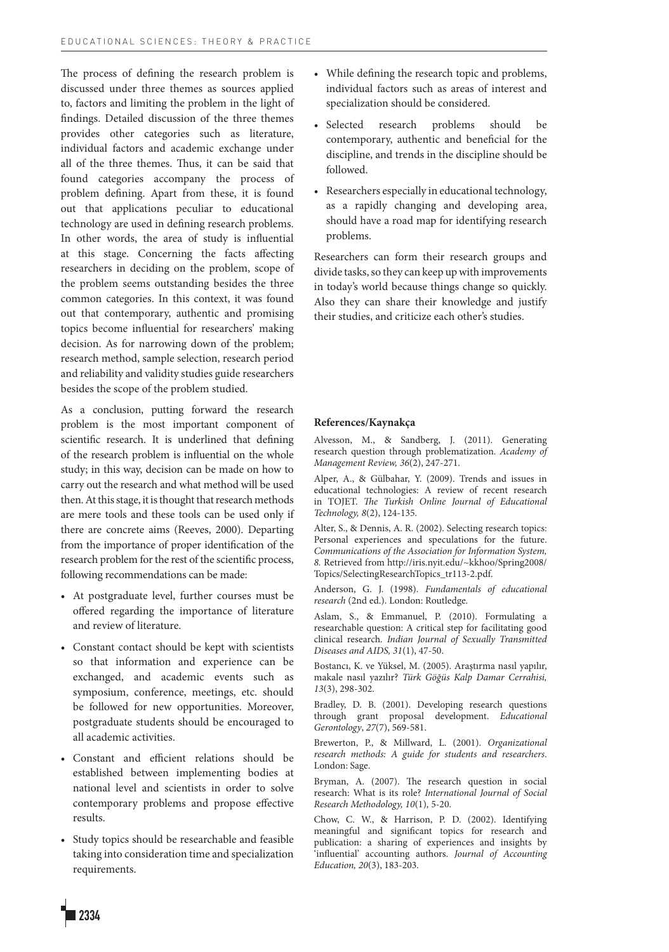The process of defining the research problem is discussed under three themes as sources applied to, factors and limiting the problem in the light of findings. Detailed discussion of the three themes provides other categories such as literature, individual factors and academic exchange under all of the three themes. Thus, it can be said that found categories accompany the process of problem defining. Apart from these, it is found out that applications peculiar to educational technology are used in defining research problems. In other words, the area of study is influential at this stage. Concerning the facts affecting researchers in deciding on the problem, scope of the problem seems outstanding besides the three common categories. In this context, it was found out that contemporary, authentic and promising topics become influential for researchers' making decision. As for narrowing down of the problem; research method, sample selection, research period and reliability and validity studies guide researchers besides the scope of the problem studied.

As a conclusion, putting forward the research problem is the most important component of scientific research. It is underlined that defining of the research problem is influential on the whole study; in this way, decision can be made on how to carry out the research and what method will be used then. At this stage, it is thought that research methods are mere tools and these tools can be used only if there are concrete aims (Reeves, 2000). Departing from the importance of proper identification of the research problem for the rest of the scientific process, following recommendations can be made:

- At postgraduate level, further courses must be offered regarding the importance of literature and review of literature.
- Constant contact should be kept with scientists so that information and experience can be exchanged, and academic events such as symposium, conference, meetings, etc. should be followed for new opportunities. Moreover, postgraduate students should be encouraged to all academic activities.
- Constant and efficient relations should be established between implementing bodies at national level and scientists in order to solve contemporary problems and propose effective results.
- Study topics should be researchable and feasible taking into consideration time and specialization requirements.
- While defining the research topic and problems, individual factors such as areas of interest and specialization should be considered.
- Selected research problems should be contemporary, authentic and beneficial for the discipline, and trends in the discipline should be followed.
- Researchers especially in educational technology, as a rapidly changing and developing area, should have a road map for identifying research problems.

Researchers can form their research groups and divide tasks, so they can keep up with improvements in today's world because things change so quickly. Also they can share their knowledge and justify their studies, and criticize each other's studies.

#### **References/Kaynakça**

Alvesson, M., & Sandberg, J. (2011). Generating research question through problematization. *Academy of Management Review, 36*(2), 247-271.

Alper, A., & Gülbahar, Y. (2009). Trends and issues in educational technologies: A review of recent research in TOJET. *The Turkish Online Journal of Educational Technology, 8*(2), 124-135.

Alter, S., & Dennis, A. R. (2002). Selecting research topics: Personal experiences and speculations for the future. *Communications of the Association for Information System, 8.* Retrieved from http://iris.nyit.edu/~kkhoo/Spring2008/ Topics/SelectingResearchTopics\_tr113-2.pdf.

Anderson, G. J. (1998). *Fundamentals of educational research* (2nd ed.). London: Routledge.

Aslam, S., & Emmanuel, P. (2010). Formulating a researchable question: A critical step for facilitating good clinical research*. Indian Journal of Sexually Transmitted Diseases and AIDS, 31*(1), 47-50.

Bostancı, K. ve Yüksel, M. (2005). Araştırma nasıl yapılır, makale nasıl yazılır? *Türk Göğüs Kalp Damar Cerrahisi, 13*(3), 298-302.

Bradley, D. B. (2001). Developing research questions through grant proposal development. *Educational Gerontology*, *27*(7), 569-581.

Brewerton, P., & Millward, L. (2001). *Organizational research methods: A guide for students and researchers*. London: Sage.

Bryman, A. (2007). The research question in social research: What is its role? *International Journal of Social Research Methodology, 10*(1)*,* 5-20.

Chow, C. W., & Harrison, P. D. (2002). Identifying meaningful and significant topics for research and publication: a sharing of experiences and insights by 'influential' accounting authors. *Journal of Accounting Education, 20*(3), 183-203.